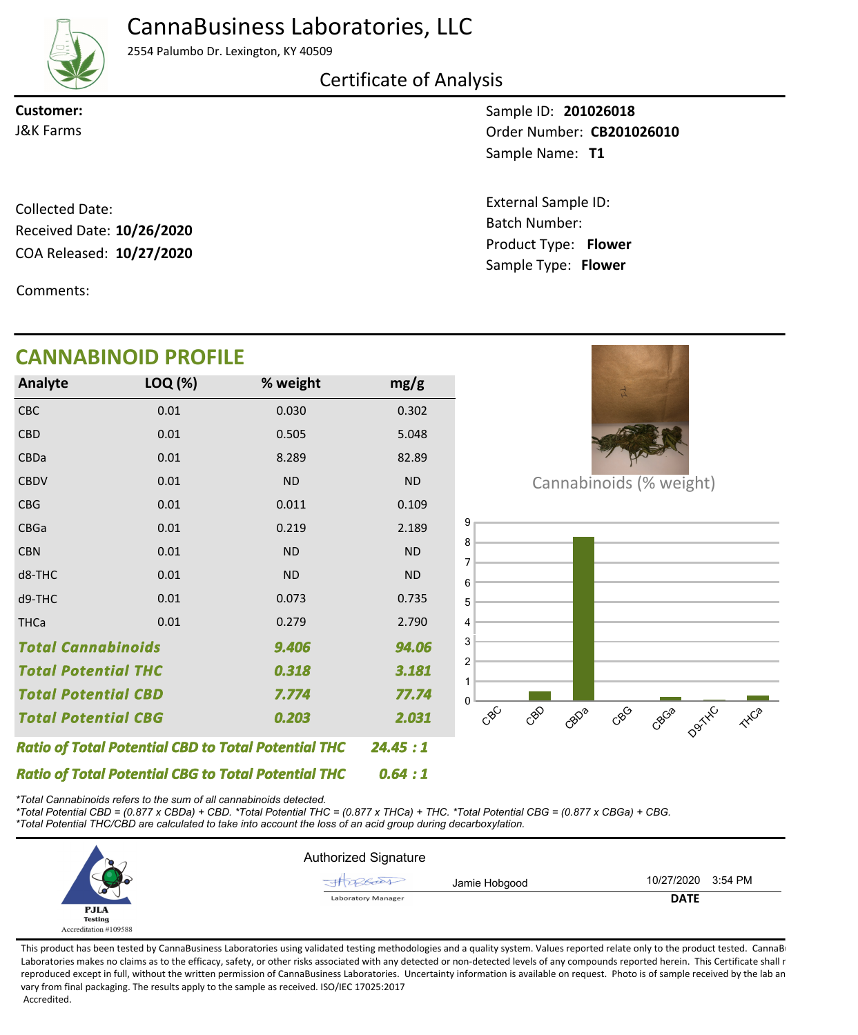

## CannaBusiness Laboratories, LLC

2554 Palumbo Dr. Lexington, KY 40509

### Certificate of Analysis

**Customer:**

Sample ID: **201026018** Sample Name: T1 **J&K Farms CB201026010** 

> Product Type: **Flower 10/27/2020** Batch Number: External Sample ID: Sample Type: **Flower**

COA Released: 10/27/2020 Collected Date: Received Date: **10/26/2020**

Comments:

## **CANNABINOID PROFILE**

| <b>Analyte</b>                                             | LOQ (%) | % weight  | mg/g      |
|------------------------------------------------------------|---------|-----------|-----------|
| <b>CBC</b>                                                 | 0.01    | 0.030     | 0.302     |
| <b>CBD</b>                                                 | 0.01    | 0.505     | 5.048     |
| <b>CBDa</b>                                                | 0.01    | 8.289     | 82.89     |
| <b>CBDV</b>                                                | 0.01    | <b>ND</b> | <b>ND</b> |
| <b>CBG</b>                                                 | 0.01    | 0.011     | 0.109     |
| <b>CBGa</b>                                                | 0.01    | 0.219     | 2.189     |
| <b>CBN</b>                                                 | 0.01    | <b>ND</b> | <b>ND</b> |
| d8-THC                                                     | 0.01    | <b>ND</b> | <b>ND</b> |
| d9-THC                                                     | 0.01    | 0.073     | 0.735     |
| <b>THCa</b>                                                | 0.01    | 0.279     | 2.790     |
| <b>Total Cannabinoids</b>                                  |         | 9.406     | 94.06     |
| <b>Total Potential THC</b><br>0.318                        |         |           | 3.181     |
| <b>Total Potential CBD</b>                                 |         | 7.774     | 77.74     |
| <b>Total Potential CBG</b>                                 |         | 0.203     | 2.031     |
| <b>Ratio of Total Potential CBD to Total Potential THC</b> | 24.45:1 |           |           |
| <b>Ratio of Total Potential CBG to Total Potential THC</b> | 0.64:1  |           |           |



Cannabinoids (% weight)



*\*Total Cannabinoids refers to the sum of all cannabinoids detected.*

*\*Total Potential CBD = (0.877 x CBDa) + CBD. \*Total Potential THC = (0.877 x THCa) + THC. \*Total Potential CBG = (0.877 x CBGa) + CBG. \*Total Potential THC/CBD are calculated to take into account the loss of an acid group during decarboxylation.*



This product has been tested by CannaBusiness Laboratories using validated testing methodologies and a quality system. Values reported relate only to the product tested. CannaBi Laboratories makes no claims as to the efficacy, safety, or other risks associated with any detected or non-detected levels of any compounds reported herein. This Certificate shall r reproduced except in full, without the written permission of CannaBusiness Laboratories. Uncertainty information is available on request. Photo is of sample received by the lab an vary from final packaging. The results apply to the sample as received. ISO/IEC 17025:2017 Accredited.